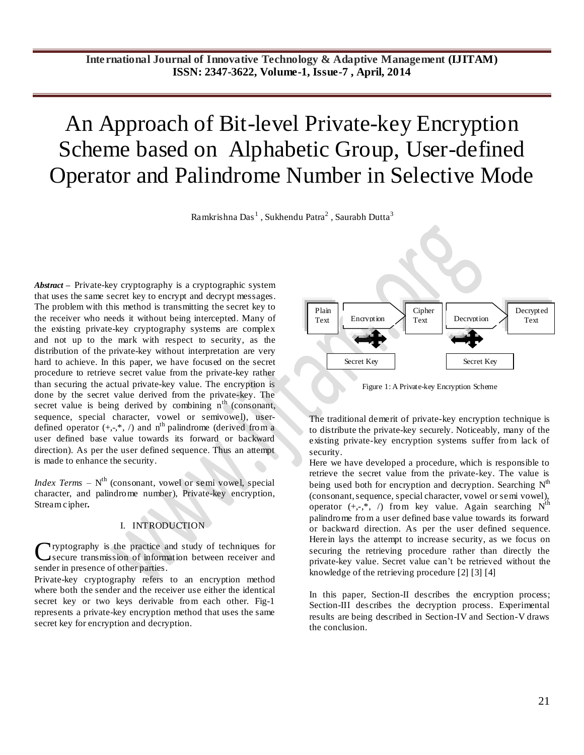# An Approach of Bit-level Private-key Encryption Scheme based on Alphabetic Group, User-defined Operator and Palindrome Number in Selective Mode

Ramkrishna Das $^1$  , Sukhendu Patra $^2$  , Saurabh Dutta $^3$ 

*Abstract* **–** Private-key cryptography is a [cryptographic](http://itlaw.wikia.com/wiki/Cryptographic) system that uses the same secre[t key](http://itlaw.wikia.com/wiki/Key) t[o encrypt](http://itlaw.wikia.com/wiki/Encrypt) and [decrypt](http://itlaw.wikia.com/wiki/Decrypt) [messages.](http://itlaw.wikia.com/wiki/Message) The problem with this method is [transmitting](http://itlaw.wikia.com/wiki/Transmit) the secret [key](http://itlaw.wikia.com/wiki/Key) to the receiver who needs it without bein[g intercepted.](http://itlaw.wikia.com/wiki/Intercept) Many of the existing private-key cryptography systems are complex and not up to the mark with respect to security, as the distribution of the private-key without interpretation are very hard to achieve. In this paper, we have focused on the secret procedure to retrieve secret value from the private-key rather than securing the actual private-key value. The encryption is done by the secret value derived from the private-key. The secret value is being derived by combining  $n<sup>th</sup>$  (consonant, sequence, special character, vowel or semivowel), userdefined operator  $(+,-,*,')$  and n<sup>th</sup> palindrome (derived from a user defined base value towards its forward or backward direction). As per the user defined sequence. Thus an attempt is made to enhance the security.

*Index Terms* – N<sup>th</sup> (consonant, vowel or semi vowel, special character, and palindrome number), Private-key encryption, Stream cipher**.**

# I. INTRODUCTION

ryptography is the practice and study of techniques for secure transmission of information between receiver and sender in presence of other parties. C

Private-key cryptography refers to an encryption method where both the sender and the receiver use either the identical secret key or two keys derivable from each other. Fig-1 represents a private-key encryption method that uses the same secret key for encryption and decryption.



Figure 1: A Private-key Encryption Scheme

The traditional demerit of private-key encryption technique is to distribute the private-key securely. Noticeably, many of the existing private-key encryption systems suffer from lack of security.

Here we have developed a procedure, which is responsible to retrieve the secret value from the private-key. The value is being used both for encryption and decryption. Searching  $N<sup>th</sup>$ (consonant, sequence, special character, vowel or semi vowel), operator  $(+,-,*,')$  from key value. Again searching N<sup>th</sup> palindrome from a user defined base value towards its forward or backward direction. As per the user defined sequence. Herein lays the attempt to increase security, as we focus on securing the retrieving procedure rather than directly the private-key value. Secret value can't be retrieved without the knowledge of the retrieving procedure [2] [3] [4]

In this paper, Section-II describes the encryption process; Section-III describes the decryption process. Experimental results are being described in Section-IV and Section-V draws the conclusion.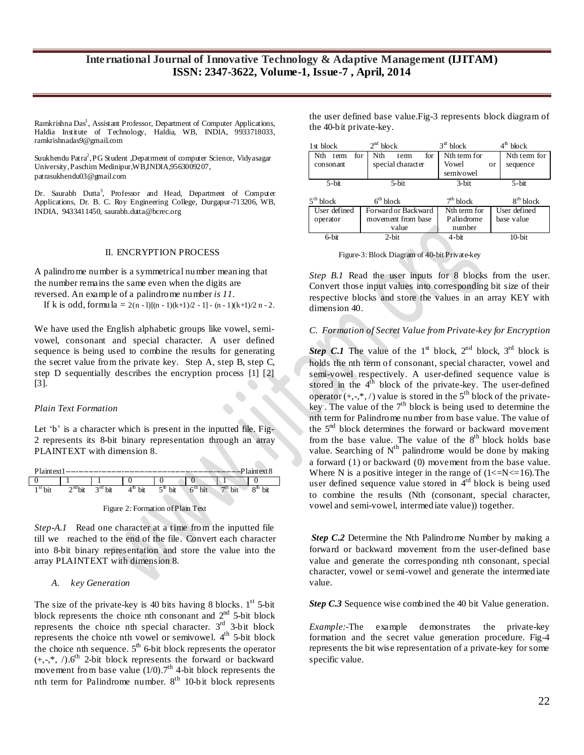Ramkrishna Das<sup>1</sup>, Assistant Professor, Department of Computer Applications, Haldia Institute of Technology, Haldia, WB, INDIA, 9933718033, ramkrishnadas9@gmail.com

Suukhendu Patra<sup>2</sup>, PG Student ,Depatrment of computer Science, Vidyasagar University,Paschim Medinipur,WB,INDIA,9563009207, patrasukhendu03@gmail.com

Dr. Saurabh Dutta<sup>3</sup>, Professor and Head, Department of Computer Applications, Dr. B. C. Roy Engineering College, Durgapur-713206, WB, INDIA, 9433411450[, saurabh.dutta@bcrec.org](mailto:saurabh.dutta@bcrec.org)

#### II. ENCRYPTION PROCESS

A palindrome number is a symmetrical number meaning that the number remains the same even when the digits are reversed. An example of a palindrome number *is 11.*

If k is odd, formula  $= 2(n-1)[(n-1)(k+1)/2 - 1] - (n-1)(k+1)/2$  n - 2.

We have used the English alphabetic groups like vowel, semivowel, consonant and special character. A user defined sequence is being used to combine the results for generating the secret value from the private key. Step A, step B, step C, step D sequentially describes the encryption process [1] [2]  $\overline{[3]}$ .

## *Plain Text Formation*

Let 'b' is a character which is present in the inputted file. Fig-2 represents its 8-bit binary representation through an array PLAINTEXT with dimension 8.

| Plaintext1                                                                                | $-Plaintext 8$                                |
|-------------------------------------------------------------------------------------------|-----------------------------------------------|
|                                                                                           |                                               |
| $3rd$ bit<br>$2^{\text{nd}}$ bit<br>$1st$ bit<br><sup>m</sup> bit<br>$5^{\mathrm{m}}$ bit | $7th$ bit<br>$8th$ bit<br>6 <sup>th</sup> bit |



*Step-A.1* Read one character at a time from the inputted file till we reached to the end of the file. Convert each character into 8-bit binary representation and store the value into the array PLAINTEXT with dimension 8.

#### *A. key Generation*

The size of the private-key is 40 bits having 8 blocks.  $1<sup>st</sup>$  5-bit block represents the choice nth consonant and  $2<sup>nd</sup>$  5-bit block represents the choice nth special character.  $3<sup>rd</sup>$  3-bit block represents the choice nth vowel or semivowel.  $4<sup>th</sup>$  5-bit block the choice nth sequence.  $5<sup>th</sup>$  6-bit block represents the operator  $(+,-,*,')$ .6<sup>th</sup> 2-bit block represents the forward or backward movement from base value  $(1/0)$ .  $7<sup>th</sup>$  4-bit block represents the nth term for Palindrome number.  $8<sup>th</sup>$  10-bit block represents

the user defined base value.Fig-3 represents block diagram of the 40-bit private-key.

| 1st block          | 2 <sup>nd</sup> block | $3^{\text{rd}}$ block | $4^{\text{th}}$ block |
|--------------------|-----------------------|-----------------------|-----------------------|
| Nth<br>for<br>term | for<br>Nth<br>term    | Nth term for          | Nth term for          |
| consonant          | special character     | Vowel                 | sequence<br><b>or</b> |
|                    |                       | semivowel             |                       |
| $5$ -bit           | 5-bit                 | $3$ -bit              | $5 - bit$             |
|                    |                       |                       |                       |
|                    |                       |                       |                       |
| $5th$ block        | 6 <sup>th</sup> block | 7 <sup>th</sup> block | $8th$ block           |
| User defined       | Forward or Backward   | Nth term for          | User defined          |
| operator           | movement from base    | Palindrome            | base value            |
|                    | value                 | number                |                       |

Figure-3: Block Diagram of 40-bit Private-key

*Step B.1* Read the user inputs for 8 blocks from the user. Convert those input values into corresponding bit size of their respective blocks and store the values in an array KEY with dimension 40.

### *C. Formation of Secret Value from Private-key for Encryption*

**Step C.1** The value of the 1<sup>st</sup> block,  $2^{nd}$  block,  $3^{rd}$  block is holds the nth term of consonant, special character, vowel and semi-vowel respectively. A user-defined sequence value is stored in the  $4<sup>th</sup>$  block of the private-key. The user-defined operator  $(+,-,*,')$  value is stored in the 5<sup>th</sup> block of the privatekey. The value of the  $7<sup>th</sup>$  block is being used to determine the nth term for Palindrome number from base value. The value of the  $5<sup>nd</sup>$  block determines the forward or backward movement from the base value. The value of the  $8<sup>th</sup>$  block holds base value. Searching of  $N^{th}$  palindrome would be done by making a forward (1) or backward (0) movement from the base value. Where N is a positive integer in the range of  $(1\le N\le 16)$ . The user defined sequence value stored in  $4<sup>rd</sup>$  block is being used to combine the results (Nth (consonant, special character, vowel and semi-vowel, intermediate value)) together.

*Step C.2* Determine the Nth Palindrome Number by making a forward or backward movement from the user-defined base value and generate the corresponding nth consonant, special character, vowel or semi-vowel and generate the intermediate value.

*Step C.3* Sequence wise combined the 40 bit Value generation.

*Example:-*The example demonstrates the private-key formation and the secret value generation procedure. Fig-4 represents the bit wise representation of a private-key for some specific value.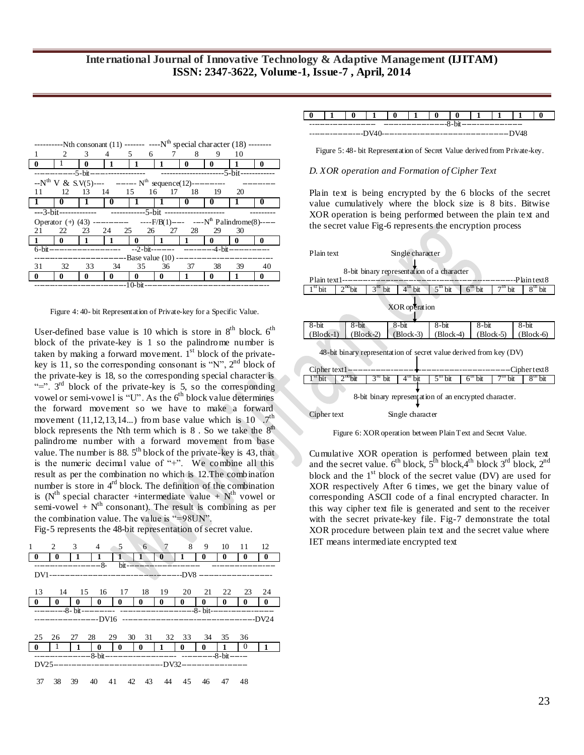|                                                                                           |                |              | ---------Nth consonant (11) ------- ----N <sup>th</sup> special character (18) --------    |                                                                               |              |                         |                |                |    |
|-------------------------------------------------------------------------------------------|----------------|--------------|--------------------------------------------------------------------------------------------|-------------------------------------------------------------------------------|--------------|-------------------------|----------------|----------------|----|
|                                                                                           | $\mathfrak{D}$ | $3^{\circ}$  |                                                                                            | 4 5 6 7 8                                                                     |              |                         | 9              | $\frac{10}{2}$ |    |
| $\bf{0}$                                                                                  |                | $\bf{0}$     | $\mathbf{1}$                                                                               | $\lfloor 1 \rfloor$                                                           | $\perp$      | $\bf{0}$                | $\mathbf{0}$   | $\mathbf{1}$   | 0  |
|                                                                                           |                |              |                                                                                            |                                                                               |              |                         |                |                |    |
|                                                                                           |                |              | $-N^{th}$ V & S.V(5)---- ------- N <sup>th</sup> sequence(12)-----------                   |                                                                               |              |                         |                |                |    |
| 11                                                                                        | 12             |              | 13 14 15 16 17 18 19                                                                       |                                                                               |              |                         |                | 20             |    |
|                                                                                           | l 0            | $\mathbf{1}$ | l 0-                                                                                       | $11$ 1                                                                        |              | $\overline{\mathbf{0}}$ | $\Box$         | 1              | 0  |
|                                                                                           |                |              |                                                                                            |                                                                               |              |                         |                |                |    |
| Operator (+) (43) ------------- ------F/B(1)---- ------N <sup>th</sup> Palindrome(8)----- |                |              |                                                                                            |                                                                               |              |                         |                |                |    |
|                                                                                           |                |              |                                                                                            |                                                                               |              |                         |                |                |    |
| 21                                                                                        | 22             |              | 23 24 25 26                                                                                |                                                                               | 27           | -28                     | 29             | - 30           |    |
| $\blacksquare$                                                                            | $\blacksquare$ | $\mathbf{1}$ | $\vert$ 1                                                                                  | $\begin{array}{ccc} \n\begin{array}{ccc} \n0 & \n\end{array} & \n\end{array}$ |              | $\mathbf{1}$            | $\blacksquare$ | 0              | 0  |
|                                                                                           |                |              | 6-bit------------------------       --2-bit---------        ----------4-bit--------------- |                                                                               |              |                         |                |                |    |
|                                                                                           |                |              | ---------------------------------Base value (10) -------------------------------           |                                                                               |              |                         |                |                |    |
| 31                                                                                        | 32             | 33           | - 34                                                                                       | 35                                                                            |              | 36 37                   | 38             | 39             | 40 |
| $\mathbf{0}$                                                                              | 0              | 0            | 0                                                                                          | 0                                                                             | $\mathbf{0}$ | -1                      | 0              |                | 0  |

Figure 4: 40- bit Representation of Private-key for a Specific Value.

User-defined base value is 10 which is store in  $8<sup>th</sup>$  block.  $6<sup>th</sup>$ block of the private-key is 1 so the palindrome number is taken by making a forward movement.  $1<sup>st</sup>$  block of the privatekey is 11, so the corresponding consonant is "N",  $2<sup>nd</sup>$  block of the private-key is 18, so the corresponding special character is "=".  $3<sup>rd</sup>$  block of the private-key is 5, so the corresponding vowel or semi-vowel is "U". As the  $6<sup>th</sup>$  block value determines the forward movement so we have to make a forward movement  $(11, 12, 13, 14...)$  from base value which is  $10^{-7}$ <sup>th</sup> block represents the Nth term which is  $8$ . So we take the  $8<sup>th</sup>$ palindrome number with a forward movement from base value. The number is 88.  $5<sup>th</sup>$  block of the private-key is 43, that is the numeric decimal value of "+". We combine all this result as per the combination no which is 12.The combination number is store in 4<sup>rd</sup> block. The definition of the combination is (N<sup>th</sup> special character +intermediate value + N<sup>th</sup> vowel or semi-vowel +  $N^{th}$  consonant). The result is combining as per the combination value. The value is "=98UN".

Fig-5 represents the 48-bit representation of secret value.

| 8<br>7<br>9<br>$\overline{\mathbf{3}}$<br>6 <sup>1</sup><br>$10 \t11 \t12$<br>1<br>2<br>$4 \quad 5$<br>$\mathbf{0}$<br>0<br>0<br>0<br>1<br>0<br>0<br>-----------8-<br>$bit$ --------------------- | 0            |
|---------------------------------------------------------------------------------------------------------------------------------------------------------------------------------------------------|--------------|
|                                                                                                                                                                                                   |              |
|                                                                                                                                                                                                   |              |
|                                                                                                                                                                                                   |              |
|                                                                                                                                                                                                   |              |
|                                                                                                                                                                                                   |              |
| 14 15 16 17 18 19 20 21 22<br>13<br>23 24                                                                                                                                                         |              |
| $\mathbf{0}$<br>$\bf{0}$<br>$\bf{0}$<br>$\bf{0}$<br>$\bf{0}$<br>$\bf{0}$<br>$\bf{0}$<br>$\mathbf{0}$<br>$\mathbf{0}$<br>$\mathbf{0}$<br>$\bf{0}$                                                  | $\mathbf{0}$ |
|                                                                                                                                                                                                   |              |
|                                                                                                                                                                                                   |              |
|                                                                                                                                                                                                   |              |
| 29 30 31 32 33 34<br>25<br>28<br>27<br>35<br>26<br>36                                                                                                                                             |              |
| $\mathbf{0}$<br>$\mathbf{0}$<br>$\bf{0}$<br>$\mathbf{1}$<br>$\bf{0}$<br>- 1<br>$\mathbf{0}$<br>$\bf{0}$<br>$\bf{0}$<br>-1                                                                         | 1            |
|                                                                                                                                                                                                   |              |
|                                                                                                                                                                                                   |              |
|                                                                                                                                                                                                   |              |
|                                                                                                                                                                                                   |              |

#### **0 1 0 1 0 1 0 0 1 1 1 0** -------------------------- -------------------------8-bit------------------------

|--|--|--|

Figure 5: 48- bit Representation of Secret Value derived from Private-key.

#### *D. XOR operation and Formation of Cipher Text*

Plain text is being encrypted by the 6 blocks of the secret value cumulatively where the block size is 8 bits. Bitwise XOR operation is being performed between the plain text and the secret value Fig-6 represents the encryption process



Figure 6: XOR operation between Plain Text and Secret Value.

Cumulative XOR operation is performed between plain text and the secret value.  $6^{th}$  block,  $5^{th}$  block,  $4^{th}$  block  $3^{rd}$  block,  $2^{nd}$ block and the  $1<sup>st</sup>$  block of the secret value (DV) are used for XOR respectively After 6 times, we get the binary value of corresponding ASCII code of a final encrypted character. In this way cipher text file is generated and sent to the receiver with the secret private-key file. Fig-7 demonstrate the total XOR procedure between plain text and the secret value where IET means intermediate encrypted text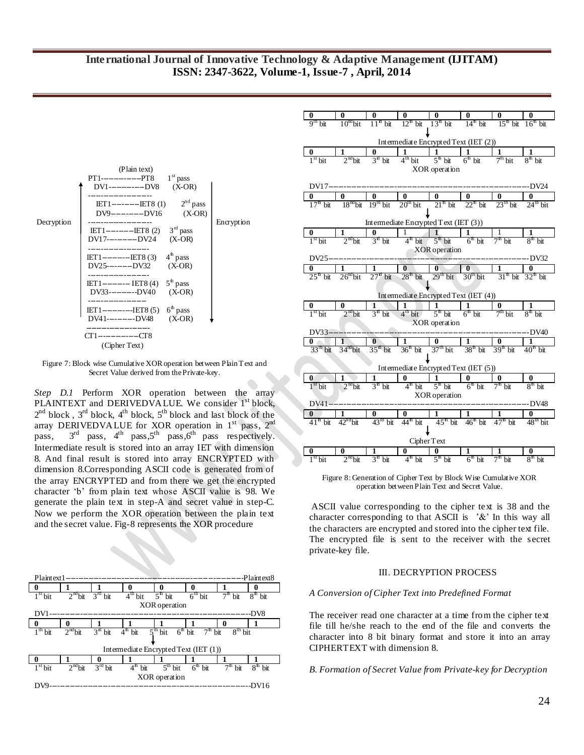# **International Journal of Innovative Technology & Adaptive Management (IJITAM) ISSN: 2347-3622, Volume-1, Issue-7 , April, 2014**



Figure 7: Block wise Cumulative XOR operation between Plain Text and Secret Value derived from the Private-key.

*Step D.1* Perform XOR operation between the array PLAINTEXT and DERIVEDVALUE. We consider 1<sup>st</sup> block,  $2^{nd}$  block,  $3^{rd}$  block,  $4^{th}$  block,  $5^{th}$  block and last block of the array DERIVEDVALUE for XOR operation in  $1<sup>st</sup>$  pass,  $2<sup>nd</sup>$ pass,  $3<sup>rd</sup>$  pass,  $4<sup>th</sup>$  pass,  $5<sup>th</sup>$  pass,  $6<sup>th</sup>$  pass respectively. Intermediate result is stored into an array IET with dimension 8. And final result is stored into array ENCRYPTED with dimension 8.Corresponding ASCII code is generated from of the array ENCRYPTED and from there we get the encrypted character 'b' from plain text whose ASCII value is 98. We generate the plain text in step-A and secret value in step-C. Now we perform the XOR operation between the plain text and the secret value. Fig-8 represents the XOR procedure





Figure 8: Generation of Cipher Text by Block Wise Cumulative XOR operation between Plain Text and Secret Value.

ASCII value corresponding to the cipher text is 38 and the character corresponding to that ASCII is  $^{\circ}\text{\&}^{\circ}$  In this way all the characters are encrypted and stored into the cipher text file. The encrypted file is sent to the receiver with the secret private-key file.

## III. DECRYPTION PROCESS

#### *A Conversion of Cipher Text into Predefined Format*

The receiver read one character at a time from the cipher text file till he/she reach to the end of the file and converts the character into 8 bit binary format and store it into an array CIPHERTEXT with dimension 8.

#### *B. Formation of Secret Value from Private-key for Decryption*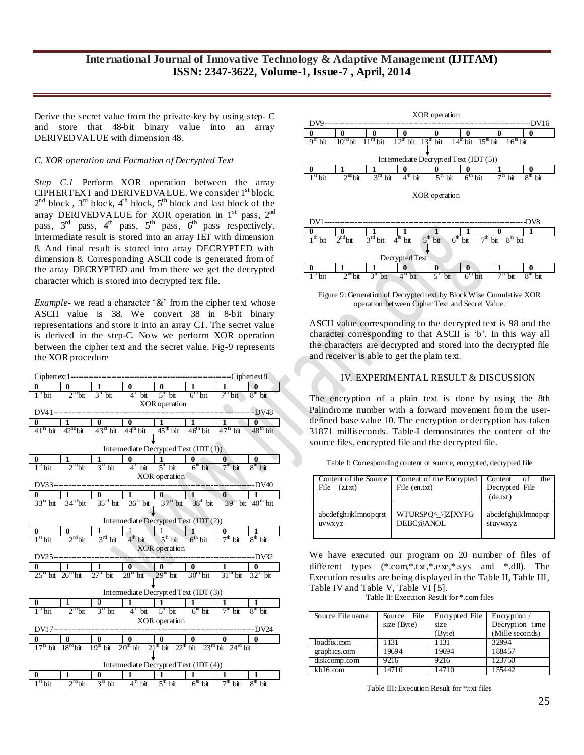Derive the secret value from the private-key by using step- C and store that 48-bit binary value into an array DERIVEDVALUE with dimension 48.

## *C. XOR operation and Formation of Decrypted Text*

*Step C.1* Perform XOR operation between the array CIPHERTEXT and DERIVEDVALUE. We consider 1<sup>st</sup> block,  $2^{nd}$  block,  $3^{rd}$  block,  $4^{th}$  block,  $5^{th}$  block and last block of the array DERIVEDVALUE for XOR operation in  $1<sup>st</sup>$  pass,  $2<sup>nd</sup>$ pass,  $3<sup>rd</sup>$  pass,  $4<sup>th</sup>$  pass,  $5<sup>th</sup>$  pass,  $6<sup>th</sup>$  pass respectively. Intermediate result is stored into an array IET with dimension 8. And final result is stored into array DECRYPTED with dimension 8. Corresponding ASCII code is generated from of the array DECRYPTED and from there we get the decrypted character which is stored into decrypted text file.

*Example***-** we read a character '&' from the cipher text whose ASCII value is 38. We convert 38 in 8-bit binary representations and store it into an array CT. The secret value is derived in the step-C. Now we perform XOR operation between the cipher text and the secret value. Fig-9 represents the XOR procedure





Figure 9: Generation of Decrypted text by Block Wise Cumulative XOR operation between Cipher Text and Secret Value.

ASCII value corresponding to the decrypted text is 98 and the character corresponding to that ASCII is 'b'. In this way all the characters are decrypted and stored into the decrypted file and receiver is able to get the plain text.

## IV. EXPERIMENTAL RESULT & DISCUSSION

The encryption of a plain text is done by using the 8th Palindrome number with a forward movement from the userdefined base value 10. The encryption or decryption has taken 31871 milliseconds. Table-I demonstrates the content of the source files, encrypted file and the decrypted file.

Table I: Corresponding content of source, encrypted, decrypted file

| Content of the Source<br>File<br>(z.txt) | Content of the Encrypted<br>File (en.txt) | Content of<br>the<br>Decrypted File<br>(de.txt) |
|------------------------------------------|-------------------------------------------|-------------------------------------------------|
| abcdefghijklmnopqrst                     | WTURSPQ^_\]Z[XYFG                         | abcdefghijklmnopqr                              |
| uvwxyz                                   | DEBC@ANOL                                 | stuvwxyz                                        |

We have executed our program on 20 number of files of different types (\*.com,\*.txt,\*.exe,\*.sys and \*.dll). The Execution results are being displayed in the Table II, Table III, Table IV and Table V, Table VI [5].

Table II: Execution Result for \*.com files

| Source File name | Source File<br>size (Byte) | Encrypted File<br>size | Encryption /<br>Decryption time |
|------------------|----------------------------|------------------------|---------------------------------|
|                  |                            | (Byte)                 | (Mille seconds)                 |
| loadfix.com      | 1131                       | 1131                   | 32994                           |
| graphics.com     | 19694                      | 19694                  | 188457                          |
| diskcomp.com     | 9216                       | 9216                   | 123750                          |
| kb16.com         | 4710                       |                        | 155442                          |

Table III: Execution Result for \*txt files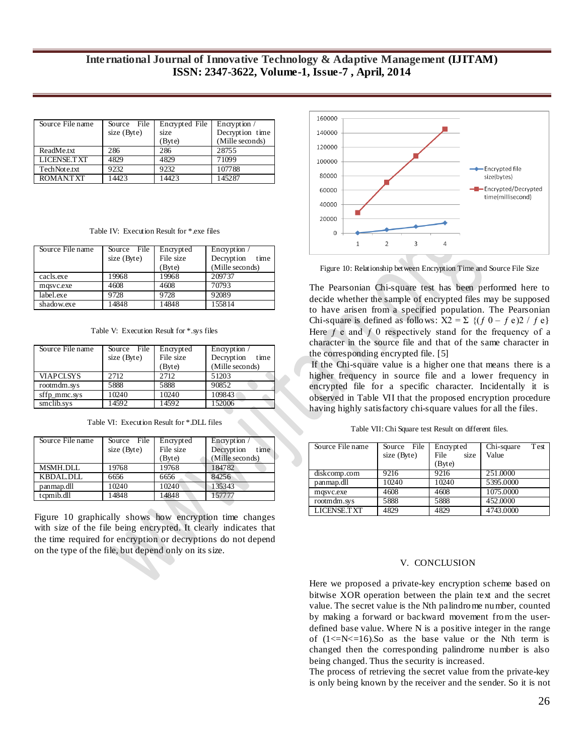# **International Journal of Innovative Technology & Adaptive Management (IJITAM) ISSN: 2347-3622, Volume-1, Issue-7 , April, 2014**

| Source File name   | Source File | Encrypted File | Encryption /    |
|--------------------|-------------|----------------|-----------------|
|                    | size (Byte) | size           | Decryption time |
|                    |             | (Byte)         | (Mille seconds) |
| ReadMe.txt         | 286         | 286            | 28755           |
| <b>LICENSE.TXT</b> | 4829        | 4829           | 71099           |
| TechNote.txt       | 9232        | 9232           | 107788          |
| <b>ROMANTXT</b>    | 14423       | 14423          | 145287          |

Table IV: Execution Result for \*.exe files

| Source File name | Source File | Encrypted | Encryption /       |
|------------------|-------------|-----------|--------------------|
|                  | size (Byte) | File size | Decryption<br>time |
|                  |             | (Byte)    | (Mille seconds)    |
| cacls.exe        | 19968       | 19968     | 209737             |
| masyc.exe        | 4608        | 4608      | 70793              |
| label.exe        | 9728        | 9728      | 92089              |
| shadow.exe       | 14848       | 14848     | 155814             |

Table V: Execution Result for \*.sys files

| Source File name | Source File | Encrypted | Encryption /       |
|------------------|-------------|-----------|--------------------|
|                  | size (Byte) | File size | Decryption<br>time |
|                  |             | (Byte)    | (Mille seconds)    |
| <b>VIAPCLSYS</b> | 2.712       | 2.712     | 51203              |
| rootmdm.sys      | 5888        | 5888      | 90852              |
| sffp_mmc.sys     | 10240       | 10240     | 109843             |
| smclib.sys       | 14592       | 14592     | 152006             |

Table VI: Execution Result for \*.DLL files

| Source File name | Source File | Encrypted | Encryption /       |
|------------------|-------------|-----------|--------------------|
|                  | size (Byte) | File size | Decryption<br>time |
|                  |             | (Byte)    | (Mille seconds)    |
| <b>MSMH.DLL</b>  | 19768       | 19768     | 184782             |
| <b>KBDAL.DLL</b> | 6656        | 6656      | 84256              |
| panmap.dll       | 10240       | 10240     | 135343             |
| tcpmib.dll       | 14848       | 14848     | 157777             |

Figure 10 graphically shows how encryption time changes with size of the file being encrypted. It clearly indicates that the time required for encryption or decryptions do not depend on the type of the file, but depend only on its size.



Figure 10: Relationship between Encryption Time and Source File Size

The Pearsonian Chi-square test has been performed here to decide whether the sample of encrypted files may be supposed to have arisen from a specified population. The Pearsonian Chi-square is defined as follows:  $X2 = \sum \{(f\ 0 - f\ e)\}$  /  $f\ e$ } Here  $f$  e and  $f$  0 respectively stand for the frequency of a character in the source file and that of the same character in the corresponding encrypted file. [5]

If the Chi-square value is a higher one that means there is a higher frequency in source file and a lower frequency in encrypted file for a specific character. Incidentally it is observed in Table VII that the proposed encryption procedure having highly satisfactory chi-square values for all the files.

Table VII: Chi Square test Result on different files.

| Source File name   | Source File<br>size (Byte) | Encrypted<br>File<br>size | Test<br>Chi-square<br>Value |
|--------------------|----------------------------|---------------------------|-----------------------------|
|                    |                            | (Byte)                    |                             |
| diskcomp.com       | 9216                       | 9216                      | 251,0000                    |
| panmap.dll         | 10240                      | 10240                     | 5395.0000                   |
| mqsvc.exe          | 4608                       | 4608                      | 1075.0000                   |
| rootmdm.sys        | 5888                       | 5888                      | 452,0000                    |
| <b>LICENSE.TXT</b> | 4829                       | 4829                      | 4743.0000                   |

#### V. CONCLUSION

Here we proposed a private-key encryption scheme based on bitwise XOR operation between the plain text and the secret value. The secret value is the Nth palindrome number, counted by making a forward or backward movement from the userdefined base value. Where N is a positive integer in the range of  $(1\le N\le 16)$ . So as the base value or the Nth term is changed then the corresponding palindrome number is also being changed. Thus the security is increased.

The process of retrieving the secret value from the private-key is only being known by the receiver and the sender. So it is not